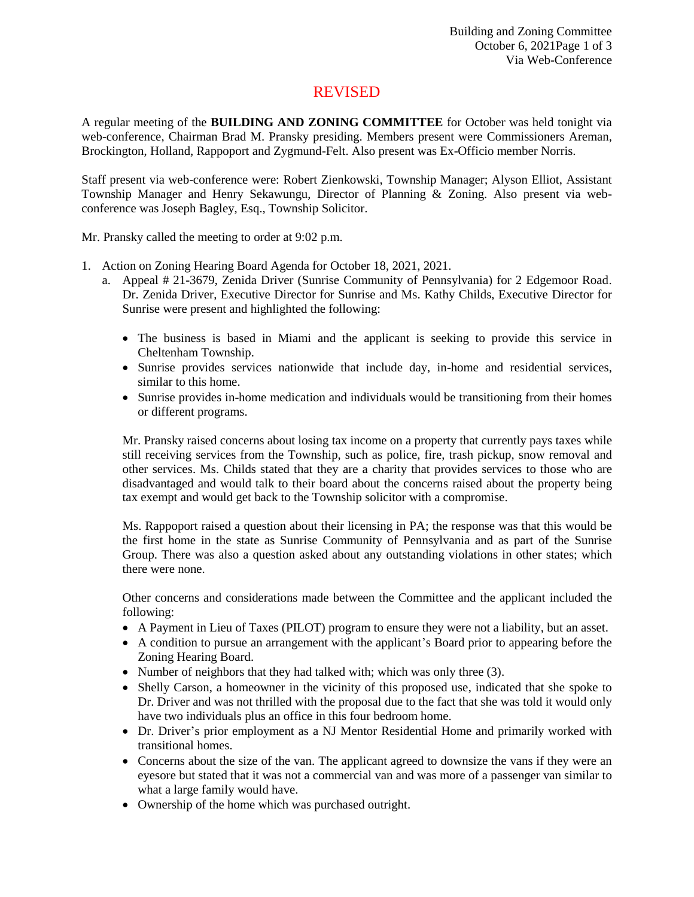## REVISED

A regular meeting of the **BUILDING AND ZONING COMMITTEE** for October was held tonight via web-conference, Chairman Brad M. Pransky presiding. Members present were Commissioners Areman, Brockington, Holland, Rappoport and Zygmund-Felt. Also present was Ex-Officio member Norris.

Staff present via web-conference were: Robert Zienkowski, Township Manager; Alyson Elliot, Assistant Township Manager and Henry Sekawungu, Director of Planning & Zoning. Also present via webconference was Joseph Bagley, Esq., Township Solicitor.

Mr. Pransky called the meeting to order at 9:02 p.m.

- 1. Action on Zoning Hearing Board Agenda for October 18, 2021, 2021.
	- a. Appeal # 21-3679, Zenida Driver (Sunrise Community of Pennsylvania) for 2 Edgemoor Road. Dr. Zenida Driver, Executive Director for Sunrise and Ms. Kathy Childs, Executive Director for Sunrise were present and highlighted the following:
		- The business is based in Miami and the applicant is seeking to provide this service in Cheltenham Township.
		- Sunrise provides services nationwide that include day, in-home and residential services, similar to this home.
		- Sunrise provides in-home medication and individuals would be transitioning from their homes or different programs.

Mr. Pransky raised concerns about losing tax income on a property that currently pays taxes while still receiving services from the Township, such as police, fire, trash pickup, snow removal and other services. Ms. Childs stated that they are a charity that provides services to those who are disadvantaged and would talk to their board about the concerns raised about the property being tax exempt and would get back to the Township solicitor with a compromise.

Ms. Rappoport raised a question about their licensing in PA; the response was that this would be the first home in the state as Sunrise Community of Pennsylvania and as part of the Sunrise Group. There was also a question asked about any outstanding violations in other states; which there were none.

Other concerns and considerations made between the Committee and the applicant included the following:

- A Payment in Lieu of Taxes (PILOT) program to ensure they were not a liability, but an asset.
- A condition to pursue an arrangement with the applicant's Board prior to appearing before the Zoning Hearing Board.
- Number of neighbors that they had talked with; which was only three (3).
- Shelly Carson, a homeowner in the vicinity of this proposed use, indicated that she spoke to Dr. Driver and was not thrilled with the proposal due to the fact that she was told it would only have two individuals plus an office in this four bedroom home.
- Dr. Driver's prior employment as a NJ Mentor Residential Home and primarily worked with transitional homes.
- Concerns about the size of the van. The applicant agreed to downsize the vans if they were an eyesore but stated that it was not a commercial van and was more of a passenger van similar to what a large family would have.
- Ownership of the home which was purchased outright.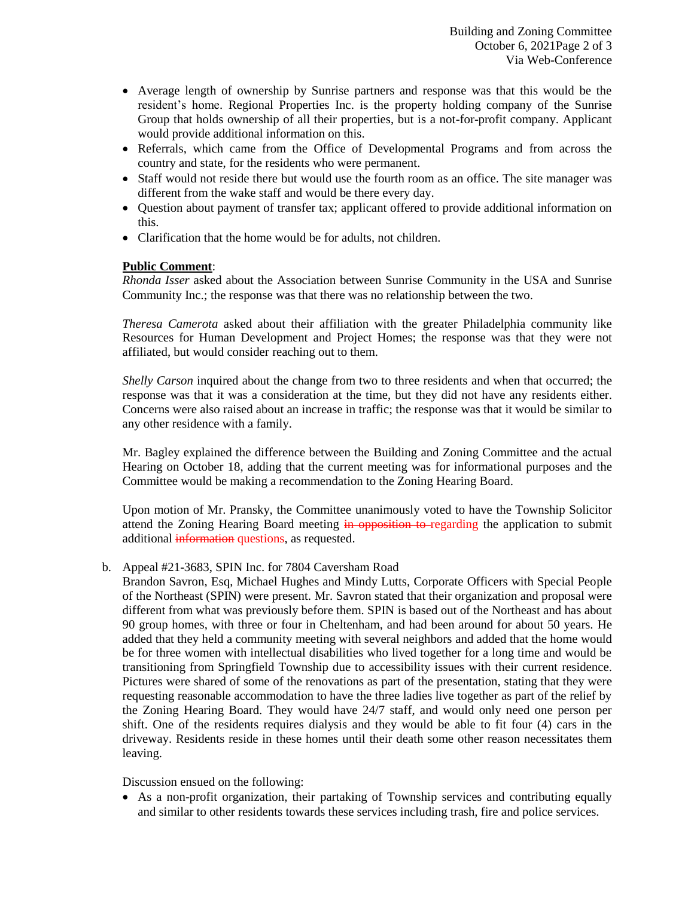- Average length of ownership by Sunrise partners and response was that this would be the resident's home. Regional Properties Inc. is the property holding company of the Sunrise Group that holds ownership of all their properties, but is a not-for-profit company. Applicant would provide additional information on this.
- Referrals, which came from the Office of Developmental Programs and from across the country and state, for the residents who were permanent.
- Staff would not reside there but would use the fourth room as an office. The site manager was different from the wake staff and would be there every day.
- Question about payment of transfer tax; applicant offered to provide additional information on this.
- Clarification that the home would be for adults, not children.

## **Public Comment**:

*Rhonda Isser* asked about the Association between Sunrise Community in the USA and Sunrise Community Inc.; the response was that there was no relationship between the two.

*Theresa Camerota* asked about their affiliation with the greater Philadelphia community like Resources for Human Development and Project Homes; the response was that they were not affiliated, but would consider reaching out to them.

*Shelly Carson* inquired about the change from two to three residents and when that occurred; the response was that it was a consideration at the time, but they did not have any residents either. Concerns were also raised about an increase in traffic; the response was that it would be similar to any other residence with a family.

Mr. Bagley explained the difference between the Building and Zoning Committee and the actual Hearing on October 18, adding that the current meeting was for informational purposes and the Committee would be making a recommendation to the Zoning Hearing Board.

Upon motion of Mr. Pransky, the Committee unanimously voted to have the Township Solicitor attend the Zoning Hearing Board meeting in opposition to regarding the application to submit additional information questions, as requested.

- b. Appeal #21-3683, SPIN Inc. for 7804 Caversham Road
	- Brandon Savron, Esq, Michael Hughes and Mindy Lutts, Corporate Officers with Special People of the Northeast (SPIN) were present. Mr. Savron stated that their organization and proposal were different from what was previously before them. SPIN is based out of the Northeast and has about 90 group homes, with three or four in Cheltenham, and had been around for about 50 years. He added that they held a community meeting with several neighbors and added that the home would be for three women with intellectual disabilities who lived together for a long time and would be transitioning from Springfield Township due to accessibility issues with their current residence. Pictures were shared of some of the renovations as part of the presentation, stating that they were requesting reasonable accommodation to have the three ladies live together as part of the relief by the Zoning Hearing Board. They would have 24/7 staff, and would only need one person per shift. One of the residents requires dialysis and they would be able to fit four (4) cars in the driveway. Residents reside in these homes until their death some other reason necessitates them leaving.

Discussion ensued on the following:

 As a non-profit organization, their partaking of Township services and contributing equally and similar to other residents towards these services including trash, fire and police services.